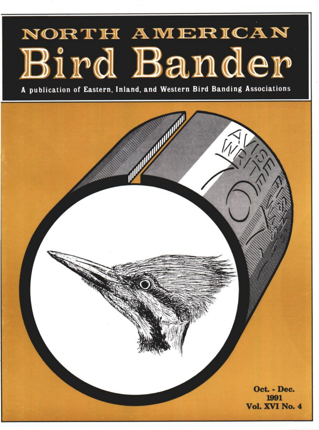# NORTH AMERICAN Bird Bander

**A publication of Eastern, Inland, and Western Bird Banding Associations**